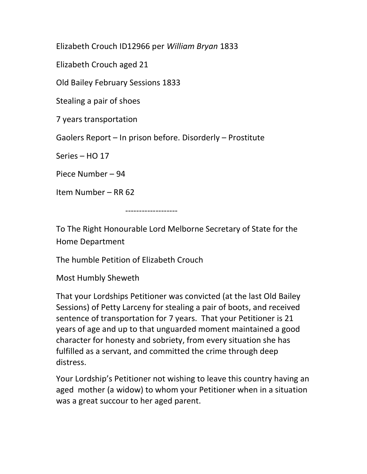Elizabeth Crouch ID12966 per William Bryan 1833

Elizabeth Crouch aged 21

Old Bailey February Sessions 1833

Stealing a pair of shoes

7 years transportation

Gaolers Report – In prison before. Disorderly – Prostitute

Series – HO 17

Piece Number – 94

Item Number – RR 62

-------------------

To The Right Honourable Lord Melborne Secretary of State for the Home Department

The humble Petition of Elizabeth Crouch

Most Humbly Sheweth

That your Lordships Petitioner was convicted (at the last Old Bailey Sessions) of Petty Larceny for stealing a pair of boots, and received sentence of transportation for 7 years. That your Petitioner is 21 years of age and up to that unguarded moment maintained a good character for honesty and sobriety, from every situation she has fulfilled as a servant, and committed the crime through deep distress.

Your Lordship's Petitioner not wishing to leave this country having an aged mother (a widow) to whom your Petitioner when in a situation was a great succour to her aged parent.